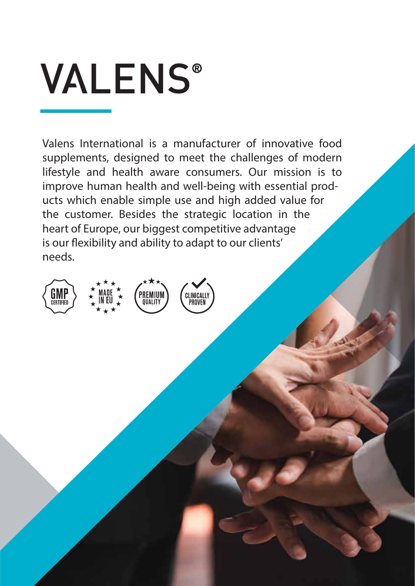# **VALENS®**

Valens International is a manufacturer of innovative food supplements, designed to meet the challenges of modern lifestyle and health aware consumers. Our mission is to improve human health and well-being with essential products which enable simple use and high added value for the customer. Besides the strategic location in the heart of Europe, our biggest competitive advantage is our flexibility and ability to adapt to our clients' needs.





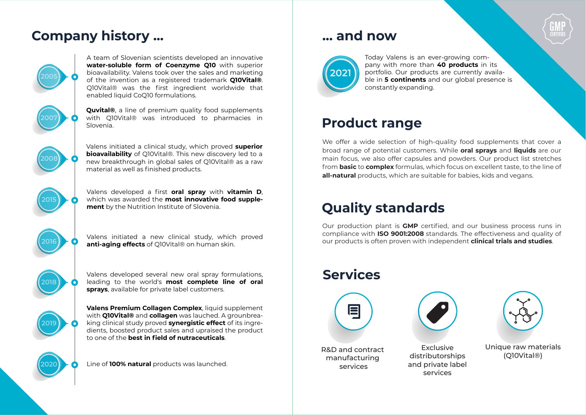# **Company history ...**



A team of Slovenian scientists developed an innovative water-soluble form of Coenzyme Q10 with superior bioavailability. Valens took over the sales and marketing of the invention as a registered trademark **OloVital®**. Q10Vital® was the first ingredient worldwide that enabled liquid CoQ10 formulations.



**Quvital**®, a line of premium quality food supplements with QI0Vital® was introduced to pharmacies in Slovenia.



Valens initiated a clinical study, which proved superior **bioavailability** of OIOVital®. This new discovery led to a new breakthrough in global sales of Q10Vital® as a raw material as well as finished products.



Valens developed a first oral spray with vitamin D. which was awarded the most innovative food supplement by the Nutrition Institute of Slovenia.



Valens initiated a new clinical study, which proved anti-aging effects of QIOVital® on human skin.

Valens developed several new oral spray formulations, leading to the world's most complete line of oral sprays, available for private label customers.



Valens Premium Collagen Complex, liquid supplement with **Q10Vital®** and **collagen** was lauched. A grounbreaking clinical study proved **synergistic effect** of its ingredients, boosted product sales and upraised the product to one of the **best in field of nutraceuticals**.

Line of 100% natural products was launched.

## ... and now



Today Valens is an ever-growing company with more than 40 products in its portfolio. Our products are currently available in 5 continents and our global presence is constantly expanding.

# **Product range**

We offer a wide selection of high-quality food supplements that cover a broad range of potential customers. While **oral sprays** and **liquids** are our main focus, we also offer capsules and powders. Our product list stretches from **basic** to **complex** formulas, which focus on excellent taste, to the line of all-natural products, which are suitable for babies, kids and vegans.

# **Quality standards**

Our production plant is **GMP** certified, and our business process runs in compliance with **ISO 9001:2008** standards. The effectiveness and quality of our products is often proven with independent **clinical trials and studies**.

## **Services**







Unique raw materials  $(QIOVital@)$